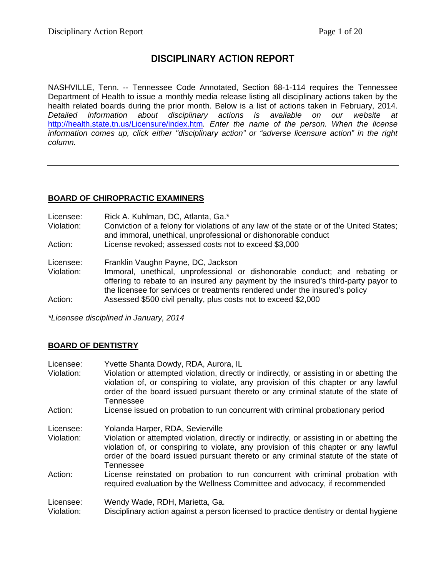# **DISCIPLINARY ACTION REPORT**

NASHVILLE, Tenn. -- Tennessee Code Annotated, Section 68-1-114 requires the Tennessee Department of Health to issue a monthly media release listing all disciplinary actions taken by the health related boards during the prior month. Below is a list of actions taken in February, 2014. *Detailed information about disciplinary actions is available on our website at*  <http://health.state.tn.us/Licensure/index.htm>*. Enter the name of the person. When the license information comes up, click either "disciplinary action" or "adverse licensure action" in the right column.*

# **BOARD OF CHIROPRACTIC EXAMINERS**

Licensee: Rick A. Kuhlman, DC, Atlanta, Ga.\*

Violation: Conviction of a felony for violations of any law of the state or of the United States; and immoral, unethical, unprofessional or dishonorable conduct

Action: License revoked; assessed costs not to exceed \$3,000

Licensee: Franklin Vaughn Payne, DC, Jackson

Violation: Immoral, unethical, unprofessional or dishonorable conduct; and rebating or offering to rebate to an insured any payment by the insured's third-party payor to the licensee for services or treatments rendered under the insured's policy Action: Assessed \$500 civil penalty, plus costs not to exceed \$2,000

*\*Licensee disciplined in January, 2014*

### **BOARD OF DENTISTRY**

| Licensee:  | Yvette Shanta Dowdy, RDA, Aurora, IL                                                                                                                                                                                                                                                |
|------------|-------------------------------------------------------------------------------------------------------------------------------------------------------------------------------------------------------------------------------------------------------------------------------------|
| Violation: | Violation or attempted violation, directly or indirectly, or assisting in or abetting the<br>violation of, or conspiring to violate, any provision of this chapter or any lawful<br>order of the board issued pursuant thereto or any criminal statute of the state of<br>Tennessee |
| Action:    | License issued on probation to run concurrent with criminal probationary period                                                                                                                                                                                                     |
| Licensee:  | Yolanda Harper, RDA, Sevierville                                                                                                                                                                                                                                                    |
| Violation: | Violation or attempted violation, directly or indirectly, or assisting in or abetting the<br>violation of, or conspiring to violate, any provision of this chapter or any lawful<br>order of the board issued pursuant thereto or any criminal statute of the state of<br>Tennessee |
| Action:    | License reinstated on probation to run concurrent with criminal probation with<br>required evaluation by the Wellness Committee and advocacy, if recommended                                                                                                                        |
| Licensee:  | Wendy Wade, RDH, Marietta, Ga.                                                                                                                                                                                                                                                      |
| Violation: | Disciplinary action against a person licensed to practice dentistry or dental hygiene                                                                                                                                                                                               |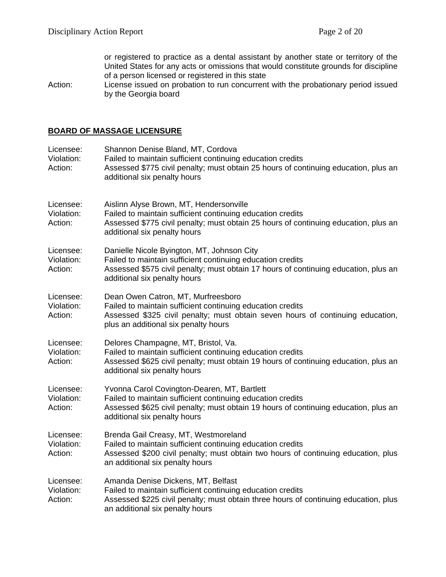or registered to practice as a dental assistant by another state or territory of the United States for any acts or omissions that would constitute grounds for discipline of a person licensed or registered in this state

Action: License issued on probation to run concurrent with the probationary period issued by the Georgia board

#### **BOARD OF MASSAGE LICENSURE**

| Licensee:<br>Violation:<br>Action: | Shannon Denise Bland, MT, Cordova<br>Failed to maintain sufficient continuing education credits<br>Assessed \$775 civil penalty; must obtain 25 hours of continuing education, plus an<br>additional six penalty hours           |
|------------------------------------|----------------------------------------------------------------------------------------------------------------------------------------------------------------------------------------------------------------------------------|
| Licensee:<br>Violation:<br>Action: | Aislinn Alyse Brown, MT, Hendersonville<br>Failed to maintain sufficient continuing education credits<br>Assessed \$775 civil penalty; must obtain 25 hours of continuing education, plus an<br>additional six penalty hours     |
| Licensee:<br>Violation:<br>Action: | Danielle Nicole Byington, MT, Johnson City<br>Failed to maintain sufficient continuing education credits<br>Assessed \$575 civil penalty; must obtain 17 hours of continuing education, plus an<br>additional six penalty hours  |
| Licensee:<br>Violation:<br>Action: | Dean Owen Catron, MT, Murfreesboro<br>Failed to maintain sufficient continuing education credits<br>Assessed \$325 civil penalty; must obtain seven hours of continuing education,<br>plus an additional six penalty hours       |
| Licensee:<br>Violation:<br>Action: | Delores Champagne, MT, Bristol, Va.<br>Failed to maintain sufficient continuing education credits<br>Assessed \$625 civil penalty; must obtain 19 hours of continuing education, plus an<br>additional six penalty hours         |
| Licensee:<br>Violation:<br>Action: | Yvonna Carol Covington-Dearen, MT, Bartlett<br>Failed to maintain sufficient continuing education credits<br>Assessed \$625 civil penalty; must obtain 19 hours of continuing education, plus an<br>additional six penalty hours |
| Licensee:<br>Violation:<br>Action: | Brenda Gail Creasy, MT, Westmoreland<br>Failed to maintain sufficient continuing education credits<br>Assessed \$200 civil penalty; must obtain two hours of continuing education, plus<br>an additional six penalty hours       |
| Licensee:<br>Violation:<br>Action: | Amanda Denise Dickens, MT, Belfast<br>Failed to maintain sufficient continuing education credits<br>Assessed \$225 civil penalty; must obtain three hours of continuing education, plus<br>an additional six penalty hours       |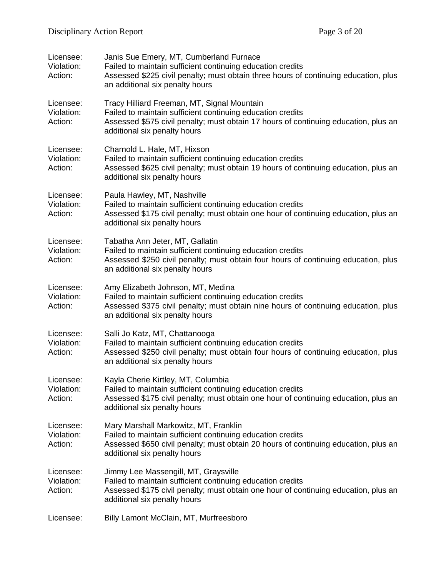| Licensee:<br>Violation:<br>Action: | Janis Sue Emery, MT, Cumberland Furnace<br>Failed to maintain sufficient continuing education credits<br>Assessed \$225 civil penalty; must obtain three hours of continuing education, plus<br>an additional six penalty hours  |
|------------------------------------|----------------------------------------------------------------------------------------------------------------------------------------------------------------------------------------------------------------------------------|
| Licensee:<br>Violation:<br>Action: | Tracy Hilliard Freeman, MT, Signal Mountain<br>Failed to maintain sufficient continuing education credits<br>Assessed \$575 civil penalty; must obtain 17 hours of continuing education, plus an<br>additional six penalty hours |
| Licensee:<br>Violation:<br>Action: | Charnold L. Hale, MT, Hixson<br>Failed to maintain sufficient continuing education credits<br>Assessed \$625 civil penalty; must obtain 19 hours of continuing education, plus an<br>additional six penalty hours                |
| Licensee:<br>Violation:<br>Action: | Paula Hawley, MT, Nashville<br>Failed to maintain sufficient continuing education credits<br>Assessed \$175 civil penalty; must obtain one hour of continuing education, plus an<br>additional six penalty hours                 |
| Licensee:<br>Violation:<br>Action: | Tabatha Ann Jeter, MT, Gallatin<br>Failed to maintain sufficient continuing education credits<br>Assessed \$250 civil penalty; must obtain four hours of continuing education, plus<br>an additional six penalty hours           |
| Licensee:<br>Violation:<br>Action: | Amy Elizabeth Johnson, MT, Medina<br>Failed to maintain sufficient continuing education credits<br>Assessed \$375 civil penalty; must obtain nine hours of continuing education, plus<br>an additional six penalty hours         |
| Licensee:<br>Violation:<br>Action: | Salli Jo Katz, MT, Chattanooga<br>Failed to maintain sufficient continuing education credits<br>Assessed \$250 civil penalty; must obtain four hours of continuing education, plus<br>an additional six penalty hours            |
| Licensee:<br>Violation:<br>Action: | Kayla Cherie Kirtley, MT, Columbia<br>Failed to maintain sufficient continuing education credits<br>Assessed \$175 civil penalty; must obtain one hour of continuing education, plus an<br>additional six penalty hours          |
| Licensee:<br>Violation:<br>Action: | Mary Marshall Markowitz, MT, Franklin<br>Failed to maintain sufficient continuing education credits<br>Assessed \$650 civil penalty; must obtain 20 hours of continuing education, plus an<br>additional six penalty hours       |
| Licensee:<br>Violation:<br>Action: | Jimmy Lee Massengill, MT, Graysville<br>Failed to maintain sufficient continuing education credits<br>Assessed \$175 civil penalty; must obtain one hour of continuing education, plus an<br>additional six penalty hours        |
| Licensee:                          | Billy Lamont McClain, MT, Murfreesboro                                                                                                                                                                                           |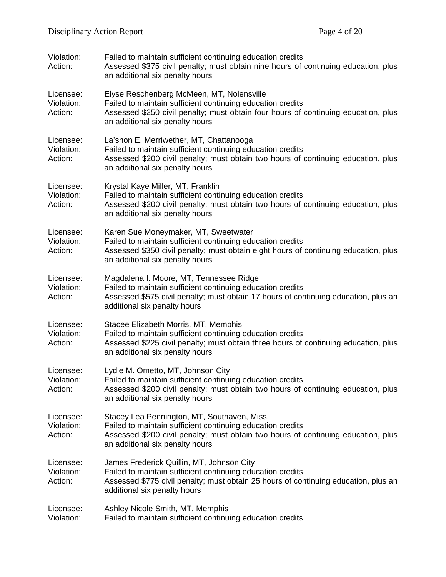| Violation:<br>Action:              | Failed to maintain sufficient continuing education credits<br>Assessed \$375 civil penalty; must obtain nine hours of continuing education, plus<br>an additional six penalty hours                                               |  |
|------------------------------------|-----------------------------------------------------------------------------------------------------------------------------------------------------------------------------------------------------------------------------------|--|
| Licensee:<br>Violation:<br>Action: | Elyse Reschenberg McMeen, MT, Nolensville<br>Failed to maintain sufficient continuing education credits<br>Assessed \$250 civil penalty; must obtain four hours of continuing education, plus<br>an additional six penalty hours  |  |
| Licensee:<br>Violation:<br>Action: | La'shon E. Merriwether, MT, Chattanooga<br>Failed to maintain sufficient continuing education credits<br>Assessed \$200 civil penalty; must obtain two hours of continuing education, plus<br>an additional six penalty hours     |  |
| Licensee:<br>Violation:<br>Action: | Krystal Kaye Miller, MT, Franklin<br>Failed to maintain sufficient continuing education credits<br>Assessed \$200 civil penalty; must obtain two hours of continuing education, plus<br>an additional six penalty hours           |  |
| Licensee:<br>Violation:<br>Action: | Karen Sue Moneymaker, MT, Sweetwater<br>Failed to maintain sufficient continuing education credits<br>Assessed \$350 civil penalty; must obtain eight hours of continuing education, plus<br>an additional six penalty hours      |  |
| Licensee:<br>Violation:<br>Action: | Magdalena I. Moore, MT, Tennessee Ridge<br>Failed to maintain sufficient continuing education credits<br>Assessed \$575 civil penalty; must obtain 17 hours of continuing education, plus an<br>additional six penalty hours      |  |
| Licensee:<br>Violation:<br>Action: | Stacee Elizabeth Morris, MT, Memphis<br>Failed to maintain sufficient continuing education credits<br>Assessed \$225 civil penalty; must obtain three hours of continuing education, plus<br>an additional six penalty hours      |  |
| Licensee:<br>Violation:<br>Action: | Lydie M. Ometto, MT, Johnson City<br>Failed to maintain sufficient continuing education credits<br>Assessed \$200 civil penalty; must obtain two hours of continuing education, plus<br>an additional six penalty hours           |  |
| Licensee:<br>Violation:<br>Action: | Stacey Lea Pennington, MT, Southaven, Miss.<br>Failed to maintain sufficient continuing education credits<br>Assessed \$200 civil penalty; must obtain two hours of continuing education, plus<br>an additional six penalty hours |  |
| Licensee:<br>Violation:<br>Action: | James Frederick Quillin, MT, Johnson City<br>Failed to maintain sufficient continuing education credits<br>Assessed \$775 civil penalty; must obtain 25 hours of continuing education, plus an<br>additional six penalty hours    |  |
| Licensee:<br>Violation:            | Ashley Nicole Smith, MT, Memphis<br>Failed to maintain sufficient continuing education credits                                                                                                                                    |  |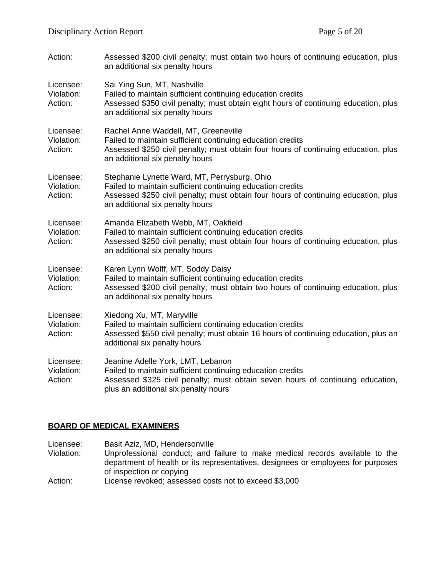| Action:                            | Assessed \$200 civil penalty; must obtain two hours of continuing education, plus<br>an additional six penalty hours                                                                                                                |  |
|------------------------------------|-------------------------------------------------------------------------------------------------------------------------------------------------------------------------------------------------------------------------------------|--|
| Licensee:<br>Violation:<br>Action: | Sai Ying Sun, MT, Nashville<br>Failed to maintain sufficient continuing education credits<br>Assessed \$350 civil penalty; must obtain eight hours of continuing education, plus<br>an additional six penalty hours                 |  |
| Licensee:<br>Violation:<br>Action: | Rachel Anne Waddell, MT, Greeneville<br>Failed to maintain sufficient continuing education credits<br>Assessed \$250 civil penalty; must obtain four hours of continuing education, plus<br>an additional six penalty hours         |  |
| Licensee:<br>Violation:<br>Action: | Stephanie Lynette Ward, MT, Perrysburg, Ohio<br>Failed to maintain sufficient continuing education credits<br>Assessed \$250 civil penalty; must obtain four hours of continuing education, plus<br>an additional six penalty hours |  |
| Licensee:<br>Violation:<br>Action: | Amanda Elizabeth Webb, MT, Oakfield<br>Failed to maintain sufficient continuing education credits<br>Assessed \$250 civil penalty; must obtain four hours of continuing education, plus<br>an additional six penalty hours          |  |
| Licensee:<br>Violation:<br>Action: | Karen Lynn Wolff, MT, Soddy Daisy<br>Failed to maintain sufficient continuing education credits<br>Assessed \$200 civil penalty; must obtain two hours of continuing education, plus<br>an additional six penalty hours             |  |
| Licensee:<br>Violation:<br>Action: | Xiedong Xu, MT, Maryville<br>Failed to maintain sufficient continuing education credits<br>Assessed \$550 civil penalty; must obtain 16 hours of continuing education, plus an<br>additional six penalty hours                      |  |
| Licensee:<br>Violation:<br>Action: | Jeanine Adelle York, LMT, Lebanon<br>Failed to maintain sufficient continuing education credits<br>Assessed \$325 civil penalty; must obtain seven hours of continuing education,<br>plus an additional six penalty hours           |  |

## **BOARD OF MEDICAL EXAMINERS**

Licensee: Basit Aziz, MD, Hendersonville<br>Violation: Unprofessional conduct; and f Unprofessional conduct; and failure to make medical records available to the department of health or its representatives, designees or employees for purposes of inspection or copying Action: License revoked; assessed costs not to exceed \$3,000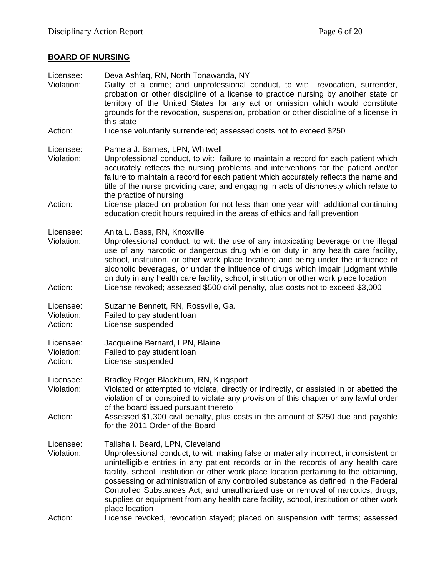# **BOARD OF NURSING**

| Licensee:<br>Violation:            | Deva Ashfaq, RN, North Tonawanda, NY<br>Guilty of a crime; and unprofessional conduct, to wit: revocation, surrender,<br>probation or other discipline of a license to practice nursing by another state or<br>territory of the United States for any act or omission which would constitute<br>grounds for the revocation, suspension, probation or other discipline of a license in<br>this state                                                                                                                                                                           |
|------------------------------------|-------------------------------------------------------------------------------------------------------------------------------------------------------------------------------------------------------------------------------------------------------------------------------------------------------------------------------------------------------------------------------------------------------------------------------------------------------------------------------------------------------------------------------------------------------------------------------|
| Action:                            | License voluntarily surrendered; assessed costs not to exceed \$250                                                                                                                                                                                                                                                                                                                                                                                                                                                                                                           |
| Licensee:<br>Violation:            | Pamela J. Barnes, LPN, Whitwell<br>Unprofessional conduct, to wit: failure to maintain a record for each patient which<br>accurately reflects the nursing problems and interventions for the patient and/or<br>failure to maintain a record for each patient which accurately reflects the name and<br>title of the nurse providing care; and engaging in acts of dishonesty which relate to<br>the practice of nursing                                                                                                                                                       |
| Action:                            | License placed on probation for not less than one year with additional continuing<br>education credit hours required in the areas of ethics and fall prevention                                                                                                                                                                                                                                                                                                                                                                                                               |
| Licensee:<br>Violation:<br>Action: | Anita L. Bass, RN, Knoxville<br>Unprofessional conduct, to wit: the use of any intoxicating beverage or the illegal<br>use of any narcotic or dangerous drug while on duty in any health care facility,<br>school, institution, or other work place location; and being under the influence of<br>alcoholic beverages, or under the influence of drugs which impair judgment while<br>on duty in any health care facility, school, institution or other work place location<br>License revoked; assessed \$500 civil penalty, plus costs not to exceed \$3,000                |
|                                    |                                                                                                                                                                                                                                                                                                                                                                                                                                                                                                                                                                               |
| Licensee:<br>Violation:<br>Action: | Suzanne Bennett, RN, Rossville, Ga.<br>Failed to pay student loan<br>License suspended                                                                                                                                                                                                                                                                                                                                                                                                                                                                                        |
| Licensee:<br>Violation:<br>Action: | Jacqueline Bernard, LPN, Blaine<br>Failed to pay student loan<br>License suspended                                                                                                                                                                                                                                                                                                                                                                                                                                                                                            |
| Licensee:<br>Violation:            | Bradley Roger Blackburn, RN, Kingsport<br>Violated or attempted to violate, directly or indirectly, or assisted in or abetted the<br>violation of or conspired to violate any provision of this chapter or any lawful order                                                                                                                                                                                                                                                                                                                                                   |
| Action:                            | of the board issued pursuant thereto<br>Assessed \$1,300 civil penalty, plus costs in the amount of \$250 due and payable<br>for the 2011 Order of the Board                                                                                                                                                                                                                                                                                                                                                                                                                  |
| Licensee:<br>Violation:            | Talisha I. Beard, LPN, Cleveland<br>Unprofessional conduct, to wit: making false or materially incorrect, inconsistent or<br>unintelligible entries in any patient records or in the records of any health care<br>facility, school, institution or other work place location pertaining to the obtaining,<br>possessing or administration of any controlled substance as defined in the Federal<br>Controlled Substances Act; and unauthorized use or removal of narcotics, drugs,<br>supplies or equipment from any health care facility, school, institution or other work |
| Action:                            | place location<br>License revoked, revocation stayed; placed on suspension with terms; assessed                                                                                                                                                                                                                                                                                                                                                                                                                                                                               |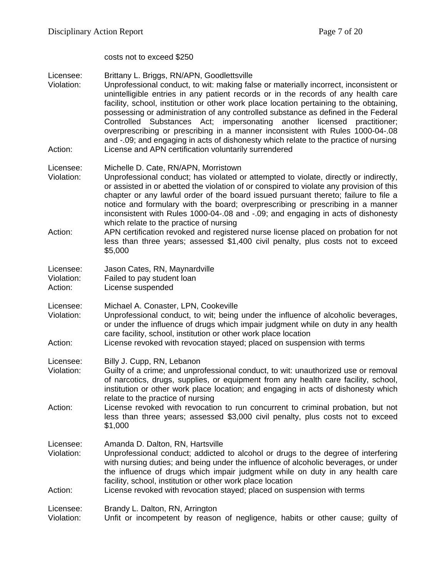costs not to exceed \$250

Licensee: Brittany L. Briggs, RN/APN, Goodlettsville<br>Violation: Unprofessional conduct. to wit: making fals Unprofessional conduct, to wit: making false or materially incorrect, inconsistent or unintelligible entries in any patient records or in the records of any health care facility, school, institution or other work place location pertaining to the obtaining, possessing or administration of any controlled substance as defined in the Federal Controlled Substances Act; impersonating another licensed practitioner; overprescribing or prescribing in a manner inconsistent with Rules 1000-04-.08 and -.09; and engaging in acts of dishonesty which relate to the practice of nursing Action: License and APN certification voluntarily surrendered Licensee: Michelle D. Cate, RN/APN, Morristown Violation: Unprofessional conduct; has violated or attempted to violate, directly or indirectly, or assisted in or abetted the violation of or conspired to violate any provision of this chapter or any lawful order of the board issued pursuant thereto; failure to file a notice and formulary with the board; overprescribing or prescribing in a manner inconsistent with Rules 1000-04-.08 and -.09; and engaging in acts of dishonesty which relate to the practice of nursing Action: APN certification revoked and registered nurse license placed on probation for not less than three years; assessed \$1,400 civil penalty, plus costs not to exceed \$5,000 Licensee: Jason Cates, RN, Maynardville<br>Violation: Failed to pay student loan Failed to pay student loan Action: License suspended Licensee: Michael A. Conaster, LPN, Cookeville Violation: Unprofessional conduct, to wit; being under the influence of alcoholic beverages, or under the influence of drugs which impair judgment while on duty in any health care facility, school, institution or other work place location Action: License revoked with revocation stayed; placed on suspension with terms Licensee: Billy J. Cupp, RN, Lebanon Violation: Guilty of a crime; and unprofessional conduct, to wit: unauthorized use or removal of narcotics, drugs, supplies, or equipment from any health care facility, school, institution or other work place location; and engaging in acts of dishonesty which relate to the practice of nursing Action: License revoked with revocation to run concurrent to criminal probation, but not less than three years; assessed \$3,000 civil penalty, plus costs not to exceed \$1,000 Licensee: Amanda D. Dalton, RN, Hartsville Violation: Unprofessional conduct; addicted to alcohol or drugs to the degree of interfering with nursing duties; and being under the influence of alcoholic beverages, or under the influence of drugs which impair judgment while on duty in any health care facility, school, institution or other work place location Action: License revoked with revocation stayed; placed on suspension with terms Licensee: Brandy L. Dalton, RN, Arrington Violation: Unfit or incompetent by reason of negligence, habits or other cause; guilty of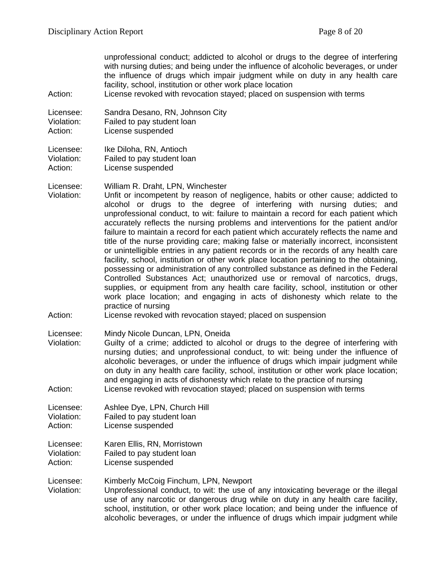unprofessional conduct; addicted to alcohol or drugs to the degree of interfering with nursing duties; and being under the influence of alcoholic beverages, or under the influence of drugs which impair judgment while on duty in any health care facility, school, institution or other work place location

Action: License revoked with revocation stayed; placed on suspension with terms

Licensee: Sandra Desano, RN, Johnson City Violation: Failed to pay student loan Action: License suspended

Licensee: Ike Diloha, RN, Antioch<br>Violation: Failed to pay student loa Failed to pay student loan Action: License suspended

Licensee: William R. Draht, LPN, Winchester

Violation: Unfit or incompetent by reason of negligence, habits or other cause; addicted to alcohol or drugs to the degree of interfering with nursing duties; and unprofessional conduct, to wit: failure to maintain a record for each patient which accurately reflects the nursing problems and interventions for the patient and/or failure to maintain a record for each patient which accurately reflects the name and title of the nurse providing care; making false or materially incorrect, inconsistent or unintelligible entries in any patient records or in the records of any health care facility, school, institution or other work place location pertaining to the obtaining, possessing or administration of any controlled substance as defined in the Federal Controlled Substances Act; unauthorized use or removal of narcotics, drugs, supplies, or equipment from any health care facility, school, institution or other work place location; and engaging in acts of dishonesty which relate to the practice of nursing

#### Action: License revoked with revocation stayed; placed on suspension

Licensee: Mindy Nicole Duncan, LPN, Oneida

Violation: Guilty of a crime; addicted to alcohol or drugs to the degree of interfering with nursing duties; and unprofessional conduct, to wit: being under the influence of alcoholic beverages, or under the influence of drugs which impair judgment while on duty in any health care facility, school, institution or other work place location; and engaging in acts of dishonesty which relate to the practice of nursing Action: License revoked with revocation stayed; placed on suspension with terms

Licensee: Ashlee Dye, LPN, Church Hill<br>Violation: Failed to pay student loan Failed to pay student loan

- Action: License suspended
- Licensee: Karen Ellis, RN, Morristown Violation: Failed to pay student loan Action: License suspended
- 
- Licensee: Kimberly McCoig Finchum, LPN, Newport<br>Violation: Unprofessional conduct, to wit: the use of Unprofessional conduct, to wit: the use of any intoxicating beverage or the illegal use of any narcotic or dangerous drug while on duty in any health care facility, school, institution, or other work place location; and being under the influence of alcoholic beverages, or under the influence of drugs which impair judgment while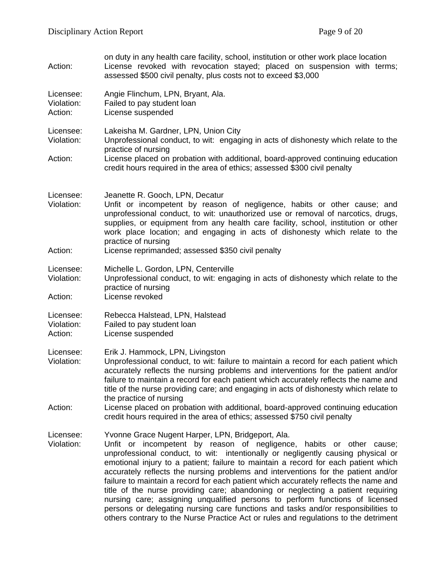| Action:                            | on duty in any health care facility, school, institution or other work place location<br>License revoked with revocation stayed; placed on suspension with terms;<br>assessed \$500 civil penalty, plus costs not to exceed \$3,000                                                                                                                                                                                                                                                                                                                                                                                                                                                                                                                                                                                             |  |
|------------------------------------|---------------------------------------------------------------------------------------------------------------------------------------------------------------------------------------------------------------------------------------------------------------------------------------------------------------------------------------------------------------------------------------------------------------------------------------------------------------------------------------------------------------------------------------------------------------------------------------------------------------------------------------------------------------------------------------------------------------------------------------------------------------------------------------------------------------------------------|--|
| Licensee:<br>Violation:<br>Action: | Angie Flinchum, LPN, Bryant, Ala.<br>Failed to pay student loan<br>License suspended                                                                                                                                                                                                                                                                                                                                                                                                                                                                                                                                                                                                                                                                                                                                            |  |
| Licensee:<br>Violation:<br>Action: | Lakeisha M. Gardner, LPN, Union City<br>Unprofessional conduct, to wit: engaging in acts of dishonesty which relate to the<br>practice of nursing<br>License placed on probation with additional, board-approved continuing education<br>credit hours required in the area of ethics; assessed \$300 civil penalty                                                                                                                                                                                                                                                                                                                                                                                                                                                                                                              |  |
| Licensee:<br>Violation:<br>Action: | Jeanette R. Gooch, LPN, Decatur<br>Unfit or incompetent by reason of negligence, habits or other cause; and<br>unprofessional conduct, to wit: unauthorized use or removal of narcotics, drugs,<br>supplies, or equipment from any health care facility, school, institution or other<br>work place location; and engaging in acts of dishonesty which relate to the<br>practice of nursing<br>License reprimanded; assessed \$350 civil penalty                                                                                                                                                                                                                                                                                                                                                                                |  |
| Licensee:<br>Violation:<br>Action: | Michelle L. Gordon, LPN, Centerville<br>Unprofessional conduct, to wit: engaging in acts of dishonesty which relate to the<br>practice of nursing<br>License revoked                                                                                                                                                                                                                                                                                                                                                                                                                                                                                                                                                                                                                                                            |  |
| Licensee:<br>Violation:<br>Action: | Rebecca Halstead, LPN, Halstead<br>Failed to pay student loan<br>License suspended                                                                                                                                                                                                                                                                                                                                                                                                                                                                                                                                                                                                                                                                                                                                              |  |
| Licensee:<br>Violation:<br>Action: | Erik J. Hammock, LPN, Livingston<br>Unprofessional conduct, to wit: failure to maintain a record for each patient which<br>accurately reflects the nursing problems and interventions for the patient and/or<br>failure to maintain a record for each patient which accurately reflects the name and<br>title of the nurse providing care; and engaging in acts of dishonesty which relate to<br>the practice of nursing<br>License placed on probation with additional, board-approved continuing education<br>credit hours required in the area of ethics; assessed \$750 civil penalty                                                                                                                                                                                                                                       |  |
| Licensee:<br>Violation:            | Yvonne Grace Nugent Harper, LPN, Bridgeport, Ala.<br>Unfit or incompetent by reason of negligence, habits or other cause;<br>unprofessional conduct, to wit: intentionally or negligently causing physical or<br>emotional injury to a patient; failure to maintain a record for each patient which<br>accurately reflects the nursing problems and interventions for the patient and/or<br>failure to maintain a record for each patient which accurately reflects the name and<br>title of the nurse providing care; abandoning or neglecting a patient requiring<br>nursing care; assigning unqualified persons to perform functions of licensed<br>persons or delegating nursing care functions and tasks and/or responsibilities to<br>others contrary to the Nurse Practice Act or rules and regulations to the detriment |  |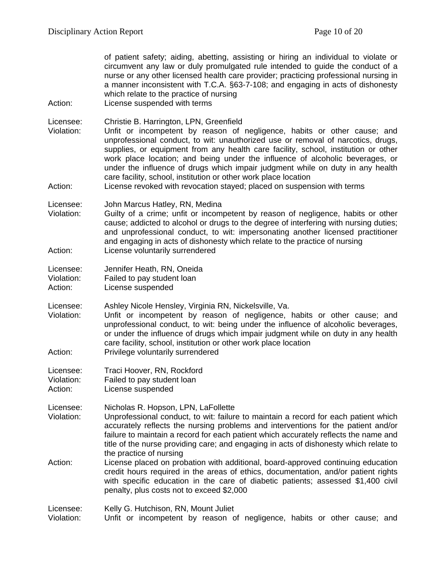| Action:                            | of patient safety; aiding, abetting, assisting or hiring an individual to violate or<br>circumvent any law or duly promulgated rule intended to guide the conduct of a<br>nurse or any other licensed health care provider; practicing professional nursing in<br>a manner inconsistent with T.C.A. §63-7-108; and engaging in acts of dishonesty<br>which relate to the practice of nursing<br>License suspended with terms                                                                                                                                                                                   |
|------------------------------------|----------------------------------------------------------------------------------------------------------------------------------------------------------------------------------------------------------------------------------------------------------------------------------------------------------------------------------------------------------------------------------------------------------------------------------------------------------------------------------------------------------------------------------------------------------------------------------------------------------------|
| Licensee:<br>Violation:<br>Action: | Christie B. Harrington, LPN, Greenfield<br>Unfit or incompetent by reason of negligence, habits or other cause; and<br>unprofessional conduct, to wit: unauthorized use or removal of narcotics, drugs,<br>supplies, or equipment from any health care facility, school, institution or other<br>work place location; and being under the influence of alcoholic beverages, or<br>under the influence of drugs which impair judgment while on duty in any health<br>care facility, school, institution or other work place location<br>License revoked with revocation stayed; placed on suspension with terms |
| Licensee:<br>Violation:<br>Action: | John Marcus Hatley, RN, Medina<br>Guilty of a crime; unfit or incompetent by reason of negligence, habits or other<br>cause; addicted to alcohol or drugs to the degree of interfering with nursing duties;<br>and unprofessional conduct, to wit: impersonating another licensed practitioner<br>and engaging in acts of dishonesty which relate to the practice of nursing<br>License voluntarily surrendered                                                                                                                                                                                                |
| Licensee:<br>Violation:<br>Action: | Jennifer Heath, RN, Oneida<br>Failed to pay student loan<br>License suspended                                                                                                                                                                                                                                                                                                                                                                                                                                                                                                                                  |
| Licensee:<br>Violation:<br>Action: | Ashley Nicole Hensley, Virginia RN, Nickelsville, Va.<br>Unfit or incompetent by reason of negligence, habits or other cause; and<br>unprofessional conduct, to wit: being under the influence of alcoholic beverages,<br>or under the influence of drugs which impair judgment while on duty in any health<br>care facility, school, institution or other work place location<br>Privilege voluntarily surrendered                                                                                                                                                                                            |
| Licensee:<br>Violation:<br>Action: | Traci Hoover, RN, Rockford<br>Failed to pay student loan<br>License suspended                                                                                                                                                                                                                                                                                                                                                                                                                                                                                                                                  |
| Licensee:<br>Violation:            | Nicholas R. Hopson, LPN, LaFollette<br>Unprofessional conduct, to wit: failure to maintain a record for each patient which<br>accurately reflects the nursing problems and interventions for the patient and/or<br>failure to maintain a record for each patient which accurately reflects the name and<br>title of the nurse providing care; and engaging in acts of dishonesty which relate to<br>the practice of nursing                                                                                                                                                                                    |
| Action:                            | License placed on probation with additional, board-approved continuing education<br>credit hours required in the areas of ethics, documentation, and/or patient rights<br>with specific education in the care of diabetic patients; assessed \$1,400 civil<br>penalty, plus costs not to exceed \$2,000                                                                                                                                                                                                                                                                                                        |
| Licensee:<br>Violation:            | Kelly G. Hutchison, RN, Mount Juliet<br>Unfit or incompetent by reason of negligence, habits or other cause; and                                                                                                                                                                                                                                                                                                                                                                                                                                                                                               |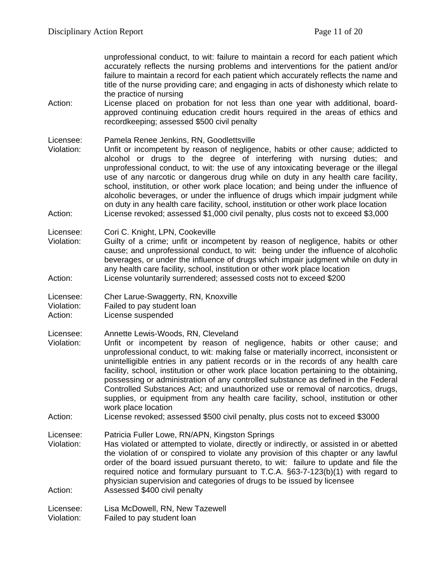unprofessional conduct, to wit: failure to maintain a record for each patient which accurately reflects the nursing problems and interventions for the patient and/or failure to maintain a record for each patient which accurately reflects the name and title of the nurse providing care; and engaging in acts of dishonesty which relate to the practice of nursing

- Action: License placed on probation for not less than one year with additional, boardapproved continuing education credit hours required in the areas of ethics and recordkeeping; assessed \$500 civil penalty
- Licensee: Pamela Renee Jenkins, RN, Goodlettsville
- Violation: Unfit or incompetent by reason of negligence, habits or other cause; addicted to alcohol or drugs to the degree of interfering with nursing duties; and unprofessional conduct, to wit: the use of any intoxicating beverage or the illegal use of any narcotic or dangerous drug while on duty in any health care facility, school, institution, or other work place location; and being under the influence of alcoholic beverages, or under the influence of drugs which impair judgment while on duty in any health care facility, school, institution or other work place location Action: License revoked; assessed \$1,000 civil penalty, plus costs not to exceed \$3,000

Licensee: Cori C. Knight, LPN, Cookeville

Violation: Guilty of a crime; unfit or incompetent by reason of negligence, habits or other cause; and unprofessional conduct, to wit: being under the influence of alcoholic beverages, or under the influence of drugs which impair judgment while on duty in any health care facility, school, institution or other work place location Action: License voluntarily surrendered; assessed costs not to exceed \$200

Licensee: Cher Larue-Swaggerty, RN, Knoxville Violation: Failed to pay student loan

Action: License suspended

Licensee: Annette Lewis-Woods, RN, Cleveland

- Violation: Unfit or incompetent by reason of negligence, habits or other cause; and unprofessional conduct, to wit: making false or materially incorrect, inconsistent or unintelligible entries in any patient records or in the records of any health care facility, school, institution or other work place location pertaining to the obtaining, possessing or administration of any controlled substance as defined in the Federal Controlled Substances Act; and unauthorized use or removal of narcotics, drugs, supplies, or equipment from any health care facility, school, institution or other work place location
- Action: License revoked; assessed \$500 civil penalty, plus costs not to exceed \$3000

Licensee: Patricia Fuller Lowe, RN/APN, Kingston Springs

Violation: Has violated or attempted to violate, directly or indirectly, or assisted in or abetted the violation of or conspired to violate any provision of this chapter or any lawful order of the board issued pursuant thereto, to wit: failure to update and file the required notice and formulary pursuant to T.C.A. §63-7-123(b)(1) with regard to physician supervision and categories of drugs to be issued by licensee Action: Assessed \$400 civil penalty

Licensee: Lisa McDowell, RN, New Tazewell Violation: Failed to pay student loan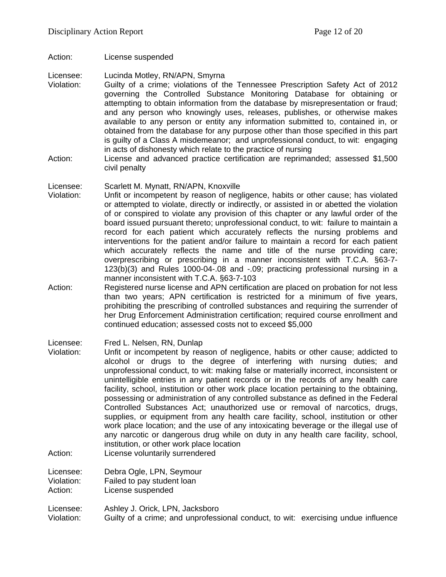Action: License suspended

Licensee: Lucinda Motley, RN/APN, Smyrna

- Violation: Guilty of a crime; violations of the Tennessee Prescription Safety Act of 2012 governing the Controlled Substance Monitoring Database for obtaining or attempting to obtain information from the database by misrepresentation or fraud; and any person who knowingly uses, releases, publishes, or otherwise makes available to any person or entity any information submitted to, contained in, or obtained from the database for any purpose other than those specified in this part is guilty of a Class A misdemeanor; and unprofessional conduct, to wit: engaging in acts of dishonesty which relate to the practice of nursing
- Action: License and advanced practice certification are reprimanded; assessed \$1,500 civil penalty

#### Licensee: Scarlett M. Mynatt, RN/APN, Knoxville

- Violation: Unfit or incompetent by reason of negligence, habits or other cause; has violated or attempted to violate, directly or indirectly, or assisted in or abetted the violation of or conspired to violate any provision of this chapter or any lawful order of the board issued pursuant thereto; unprofessional conduct, to wit: failure to maintain a record for each patient which accurately reflects the nursing problems and interventions for the patient and/or failure to maintain a record for each patient which accurately reflects the name and title of the nurse providing care; overprescribing or prescribing in a manner inconsistent with T.C.A. §63-7- 123(b)(3) and Rules 1000-04-.08 and -.09; practicing professional nursing in a manner inconsistent with T.C.A. §63-7-103
- Action: Registered nurse license and APN certification are placed on probation for not less than two years; APN certification is restricted for a minimum of five years, prohibiting the prescribing of controlled substances and requiring the surrender of her Drug Enforcement Administration certification; required course enrollment and continued education; assessed costs not to exceed \$5,000
- Licensee: Fred L. Nelsen, RN, Dunlap
- Violation: Unfit or incompetent by reason of negligence, habits or other cause; addicted to alcohol or drugs to the degree of interfering with nursing duties; and unprofessional conduct, to wit: making false or materially incorrect, inconsistent or unintelligible entries in any patient records or in the records of any health care facility, school, institution or other work place location pertaining to the obtaining, possessing or administration of any controlled substance as defined in the Federal Controlled Substances Act; unauthorized use or removal of narcotics, drugs, supplies, or equipment from any health care facility, school, institution or other work place location; and the use of any intoxicating beverage or the illegal use of any narcotic or dangerous drug while on duty in any health care facility, school, institution, or other work place location
- Action: License voluntarily surrendered

Licensee: Debra Ogle, LPN, Seymour<br>Violation: Failed to pay student loan Violation: Failed to pay student loan<br>Action: License suspended

License suspended

Licensee: Ashley J. Orick, LPN, Jacksboro Violation: Guilty of a crime; and unprofessional conduct, to wit: exercising undue influence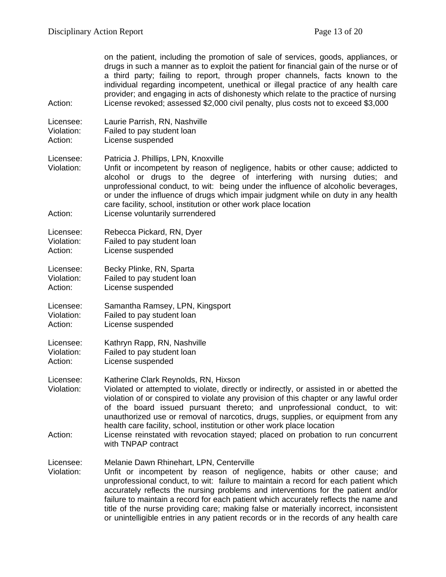on the patient, including the promotion of sale of services, goods, appliances, or drugs in such a manner as to exploit the patient for financial gain of the nurse or of a third party; failing to report, through proper channels, facts known to the individual regarding incompetent, unethical or illegal practice of any health care provider; and engaging in acts of dishonesty which relate to the practice of nursing Action: License revoked; assessed \$2,000 civil penalty, plus costs not to exceed \$3,000

Licensee: Laurie Parrish, RN, Nashville Violation: Failed to pay student loan<br>Action: License suspended License suspended

Licensee: Patricia J. Phillips, LPN, Knoxville

Violation: Unfit or incompetent by reason of negligence, habits or other cause; addicted to alcohol or drugs to the degree of interfering with nursing duties; and unprofessional conduct, to wit: being under the influence of alcoholic beverages, or under the influence of drugs which impair judgment while on duty in any health care facility, school, institution or other work place location Action: License voluntarily surrendered

- Licensee: Rebecca Pickard, RN, Dyer Violation: Failed to pay student loan Action: License suspended
- Licensee: Becky Plinke, RN, Sparta Failed to pay student loan Action: License suspended
- Licensee: Samantha Ramsey, LPN, Kingsport Violation: Failed to pay student loan Action: License suspended
- Licensee: Kathryn Rapp, RN, Nashville Violation: Failed to pay student loan Action: License suspended
- Licensee: Katherine Clark Reynolds, RN, Hixson
- Violation: Violated or attempted to violate, directly or indirectly, or assisted in or abetted the violation of or conspired to violate any provision of this chapter or any lawful order of the board issued pursuant thereto; and unprofessional conduct, to wit: unauthorized use or removal of narcotics, drugs, supplies, or equipment from any health care facility, school, institution or other work place location
- Action: License reinstated with revocation stayed; placed on probation to run concurrent with TNPAP contract

title of the nurse providing care; making false or materially incorrect, inconsistent or unintelligible entries in any patient records or in the records of any health care

Licensee: Melanie Dawn Rhinehart, LPN, Centerville Violation: Unfit or incompetent by reason of negligence, habits or other cause; and unprofessional conduct, to wit: failure to maintain a record for each patient which accurately reflects the nursing problems and interventions for the patient and/or failure to maintain a record for each patient which accurately reflects the name and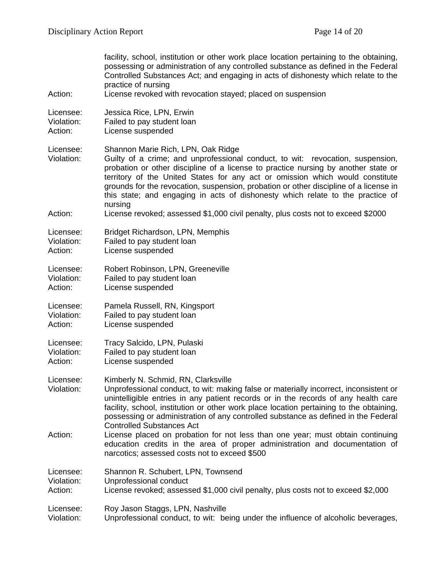| Action:                 | facility, school, institution or other work place location pertaining to the obtaining,<br>possessing or administration of any controlled substance as defined in the Federal<br>Controlled Substances Act; and engaging in acts of dishonesty which relate to the<br>practice of nursing<br>License revoked with revocation stayed; placed on suspension                                                                                                                         |  |
|-------------------------|-----------------------------------------------------------------------------------------------------------------------------------------------------------------------------------------------------------------------------------------------------------------------------------------------------------------------------------------------------------------------------------------------------------------------------------------------------------------------------------|--|
| Licensee:               | Jessica Rice, LPN, Erwin                                                                                                                                                                                                                                                                                                                                                                                                                                                          |  |
| Violation:              | Failed to pay student loan                                                                                                                                                                                                                                                                                                                                                                                                                                                        |  |
| Action:                 | License suspended                                                                                                                                                                                                                                                                                                                                                                                                                                                                 |  |
| Licensee:<br>Violation: | Shannon Marie Rich, LPN, Oak Ridge<br>Guilty of a crime; and unprofessional conduct, to wit: revocation, suspension,<br>probation or other discipline of a license to practice nursing by another state or<br>territory of the United States for any act or omission which would constitute<br>grounds for the revocation, suspension, probation or other discipline of a license in<br>this state; and engaging in acts of dishonesty which relate to the practice of<br>nursing |  |
| Action:                 | License revoked; assessed \$1,000 civil penalty, plus costs not to exceed \$2000                                                                                                                                                                                                                                                                                                                                                                                                  |  |
| Licensee:               | Bridget Richardson, LPN, Memphis                                                                                                                                                                                                                                                                                                                                                                                                                                                  |  |
| Violation:              | Failed to pay student loan                                                                                                                                                                                                                                                                                                                                                                                                                                                        |  |
| Action:                 | License suspended                                                                                                                                                                                                                                                                                                                                                                                                                                                                 |  |
| Licensee:               | Robert Robinson, LPN, Greeneville                                                                                                                                                                                                                                                                                                                                                                                                                                                 |  |
| Violation:              | Failed to pay student loan                                                                                                                                                                                                                                                                                                                                                                                                                                                        |  |
| Action:                 | License suspended                                                                                                                                                                                                                                                                                                                                                                                                                                                                 |  |
| Licensee:               | Pamela Russell, RN, Kingsport                                                                                                                                                                                                                                                                                                                                                                                                                                                     |  |
| Violation:              | Failed to pay student loan                                                                                                                                                                                                                                                                                                                                                                                                                                                        |  |
| Action:                 | License suspended                                                                                                                                                                                                                                                                                                                                                                                                                                                                 |  |
| Licensee:               | Tracy Salcido, LPN, Pulaski                                                                                                                                                                                                                                                                                                                                                                                                                                                       |  |
| Violation:              | Failed to pay student loan                                                                                                                                                                                                                                                                                                                                                                                                                                                        |  |
| Action:                 | License suspended                                                                                                                                                                                                                                                                                                                                                                                                                                                                 |  |
| Licensee:<br>Violation: | Kimberly N. Schmid, RN, Clarksville<br>Unprofessional conduct, to wit: making false or materially incorrect, inconsistent or<br>unintelligible entries in any patient records or in the records of any health care<br>facility, school, institution or other work place location pertaining to the obtaining,<br>possessing or administration of any controlled substance as defined in the Federal<br><b>Controlled Substances Act</b>                                           |  |
| Action:                 | License placed on probation for not less than one year; must obtain continuing<br>education credits in the area of proper administration and documentation of<br>narcotics; assessed costs not to exceed \$500                                                                                                                                                                                                                                                                    |  |
| Licensee:               | Shannon R. Schubert, LPN, Townsend                                                                                                                                                                                                                                                                                                                                                                                                                                                |  |
| Violation:              | Unprofessional conduct                                                                                                                                                                                                                                                                                                                                                                                                                                                            |  |
| Action:                 | License revoked; assessed \$1,000 civil penalty, plus costs not to exceed \$2,000                                                                                                                                                                                                                                                                                                                                                                                                 |  |
| Licensee:               | Roy Jason Staggs, LPN, Nashville                                                                                                                                                                                                                                                                                                                                                                                                                                                  |  |
| Violation:              | Unprofessional conduct, to wit: being under the influence of alcoholic beverages,                                                                                                                                                                                                                                                                                                                                                                                                 |  |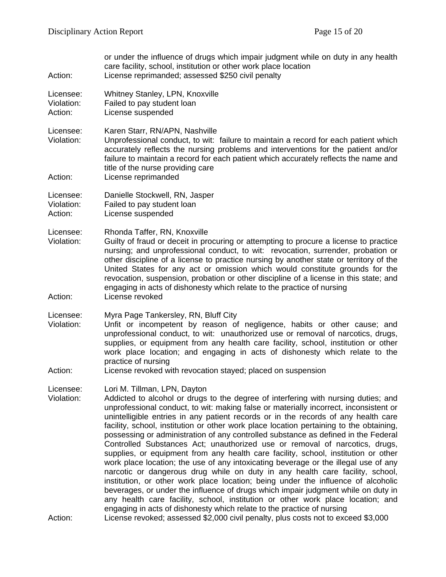| or under the influence of drugs which impair judgment while on duty in any health<br>care facility, school, institution or other work place location<br>License reprimanded; assessed \$250 civil penalty                                                                                                                                                                                                                                                                                                                                                                                                                                                                                                                                                                                                                                                                                                                                                                                                                                                                                                                                                                                                                                                   |
|-------------------------------------------------------------------------------------------------------------------------------------------------------------------------------------------------------------------------------------------------------------------------------------------------------------------------------------------------------------------------------------------------------------------------------------------------------------------------------------------------------------------------------------------------------------------------------------------------------------------------------------------------------------------------------------------------------------------------------------------------------------------------------------------------------------------------------------------------------------------------------------------------------------------------------------------------------------------------------------------------------------------------------------------------------------------------------------------------------------------------------------------------------------------------------------------------------------------------------------------------------------|
| Whitney Stanley, LPN, Knoxville<br>Failed to pay student loan<br>License suspended                                                                                                                                                                                                                                                                                                                                                                                                                                                                                                                                                                                                                                                                                                                                                                                                                                                                                                                                                                                                                                                                                                                                                                          |
| Karen Starr, RN/APN, Nashville<br>Unprofessional conduct, to wit: failure to maintain a record for each patient which<br>accurately reflects the nursing problems and interventions for the patient and/or<br>failure to maintain a record for each patient which accurately reflects the name and<br>title of the nurse providing care<br>License reprimanded                                                                                                                                                                                                                                                                                                                                                                                                                                                                                                                                                                                                                                                                                                                                                                                                                                                                                              |
| Danielle Stockwell, RN, Jasper<br>Failed to pay student loan<br>License suspended                                                                                                                                                                                                                                                                                                                                                                                                                                                                                                                                                                                                                                                                                                                                                                                                                                                                                                                                                                                                                                                                                                                                                                           |
| Rhonda Taffer, RN, Knoxville<br>Guilty of fraud or deceit in procuring or attempting to procure a license to practice<br>nursing; and unprofessional conduct, to wit: revocation, surrender, probation or<br>other discipline of a license to practice nursing by another state or territory of the<br>United States for any act or omission which would constitute grounds for the<br>revocation, suspension, probation or other discipline of a license in this state; and<br>engaging in acts of dishonesty which relate to the practice of nursing<br>License revoked                                                                                                                                                                                                                                                                                                                                                                                                                                                                                                                                                                                                                                                                                   |
| Myra Page Tankersley, RN, Bluff City<br>Unfit or incompetent by reason of negligence, habits or other cause; and<br>unprofessional conduct, to wit: unauthorized use or removal of narcotics, drugs,<br>supplies, or equipment from any health care facility, school, institution or other<br>work place location; and engaging in acts of dishonesty which relate to the<br>practice of nursing<br>License revoked with revocation stayed; placed on suspension                                                                                                                                                                                                                                                                                                                                                                                                                                                                                                                                                                                                                                                                                                                                                                                            |
| Lori M. Tillman, LPN, Dayton<br>Addicted to alcohol or drugs to the degree of interfering with nursing duties; and<br>unprofessional conduct, to wit: making false or materially incorrect, inconsistent or<br>unintelligible entries in any patient records or in the records of any health care<br>facility, school, institution or other work place location pertaining to the obtaining,<br>possessing or administration of any controlled substance as defined in the Federal<br>Controlled Substances Act; unauthorized use or removal of narcotics, drugs,<br>supplies, or equipment from any health care facility, school, institution or other<br>work place location; the use of any intoxicating beverage or the illegal use of any<br>narcotic or dangerous drug while on duty in any health care facility, school,<br>institution, or other work place location; being under the influence of alcoholic<br>beverages, or under the influence of drugs which impair judgment while on duty in<br>any health care facility, school, institution or other work place location; and<br>engaging in acts of dishonesty which relate to the practice of nursing<br>License revoked; assessed \$2,000 civil penalty, plus costs not to exceed \$3,000 |
|                                                                                                                                                                                                                                                                                                                                                                                                                                                                                                                                                                                                                                                                                                                                                                                                                                                                                                                                                                                                                                                                                                                                                                                                                                                             |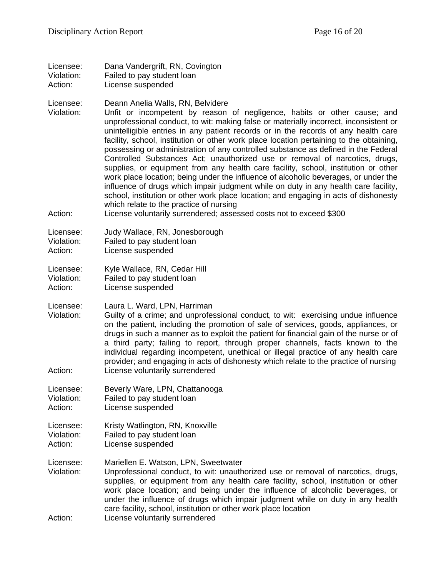| Licensee:  | Dana Vandergrift, RN, Covington |
|------------|---------------------------------|
| Violation: | Failed to pay student loan      |

Action: License suspended

Licensee: Deann Anelia Walls, RN, Belvidere

Violation: Unfit or incompetent by reason of negligence, habits or other cause; and unprofessional conduct, to wit: making false or materially incorrect, inconsistent or unintelligible entries in any patient records or in the records of any health care facility, school, institution or other work place location pertaining to the obtaining, possessing or administration of any controlled substance as defined in the Federal Controlled Substances Act; unauthorized use or removal of narcotics, drugs, supplies, or equipment from any health care facility, school, institution or other work place location; being under the influence of alcoholic beverages, or under the influence of drugs which impair judgment while on duty in any health care facility, school, institution or other work place location; and engaging in acts of dishonesty which relate to the practice of nursing

Action: License voluntarily surrendered; assessed costs not to exceed \$300

| Licensee:  | Judy Wallace, RN, Jonesborough |
|------------|--------------------------------|
| Violation: | Failed to pay student loan     |
| Action:    | License suspended              |

Licensee: Kyle Wallace, RN, Cedar Hill<br>Violation: Failed to pay student loan Failed to pay student loan

Action: License suspended

Licensee: Laura L. Ward, LPN, Harriman

Violation: Guilty of a crime; and unprofessional conduct, to wit: exercising undue influence on the patient, including the promotion of sale of services, goods, appliances, or drugs in such a manner as to exploit the patient for financial gain of the nurse or of a third party; failing to report, through proper channels, facts known to the individual regarding incompetent, unethical or illegal practice of any health care provider; and engaging in acts of dishonesty which relate to the practice of nursing Action: License voluntarily surrendered

Licensee: Beverly Ware, LPN, Chattanooga Violation: Failed to pay student loan<br>Action: License suspended

License suspended

Licensee: Kristy Watlington, RN, Knoxville

Violation: Failed to pay student loan

Action: License suspended

Licensee: Mariellen E. Watson, LPN, Sweetwater

- Violation: Unprofessional conduct, to wit: unauthorized use or removal of narcotics, drugs, supplies, or equipment from any health care facility, school, institution or other work place location; and being under the influence of alcoholic beverages, or under the influence of drugs which impair judgment while on duty in any health care facility, school, institution or other work place location
- Action: License voluntarily surrendered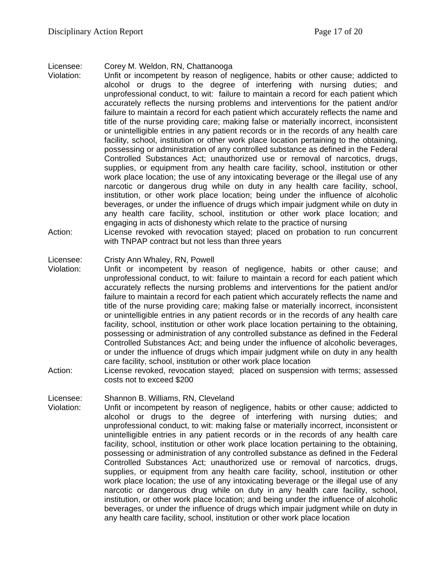Licensee: Corey M. Weldon, RN, Chattanooga

- Violation: Unfit or incompetent by reason of negligence, habits or other cause; addicted to alcohol or drugs to the degree of interfering with nursing duties; and unprofessional conduct, to wit: failure to maintain a record for each patient which accurately reflects the nursing problems and interventions for the patient and/or failure to maintain a record for each patient which accurately reflects the name and title of the nurse providing care; making false or materially incorrect, inconsistent or unintelligible entries in any patient records or in the records of any health care facility, school, institution or other work place location pertaining to the obtaining, possessing or administration of any controlled substance as defined in the Federal Controlled Substances Act; unauthorized use or removal of narcotics, drugs, supplies, or equipment from any health care facility, school, institution or other work place location; the use of any intoxicating beverage or the illegal use of any narcotic or dangerous drug while on duty in any health care facility, school, institution, or other work place location; being under the influence of alcoholic beverages, or under the influence of drugs which impair judgment while on duty in any health care facility, school, institution or other work place location; and engaging in acts of dishonesty which relate to the practice of nursing
- Action: License revoked with revocation stayed; placed on probation to run concurrent with TNPAP contract but not less than three years

#### Licensee: Cristy Ann Whaley, RN, Powell

- Violation: Unfit or incompetent by reason of negligence, habits or other cause; and unprofessional conduct, to wit: failure to maintain a record for each patient which accurately reflects the nursing problems and interventions for the patient and/or failure to maintain a record for each patient which accurately reflects the name and title of the nurse providing care; making false or materially incorrect, inconsistent or unintelligible entries in any patient records or in the records of any health care facility, school, institution or other work place location pertaining to the obtaining, possessing or administration of any controlled substance as defined in the Federal Controlled Substances Act; and being under the influence of alcoholic beverages, or under the influence of drugs which impair judgment while on duty in any health care facility, school, institution or other work place location
- Action: License revoked, revocation stayed; placed on suspension with terms; assessed costs not to exceed \$200

Licensee: Shannon B. Williams, RN, Cleveland

Unfit or incompetent by reason of negligence, habits or other cause; addicted to alcohol or drugs to the degree of interfering with nursing duties; and unprofessional conduct, to wit: making false or materially incorrect, inconsistent or unintelligible entries in any patient records or in the records of any health care facility, school, institution or other work place location pertaining to the obtaining, possessing or administration of any controlled substance as defined in the Federal Controlled Substances Act; unauthorized use or removal of narcotics, drugs, supplies, or equipment from any health care facility, school, institution or other work place location; the use of any intoxicating beverage or the illegal use of any narcotic or dangerous drug while on duty in any health care facility, school, institution, or other work place location; and being under the influence of alcoholic beverages, or under the influence of drugs which impair judgment while on duty in any health care facility, school, institution or other work place location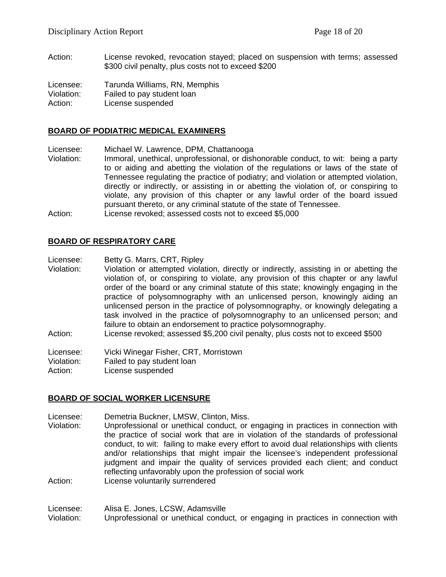Action: License revoked, revocation stayed; placed on suspension with terms; assessed \$300 civil penalty, plus costs not to exceed \$200

Licensee: Tarunda Williams, RN, Memphis Violation: Failed to pay student loan Action: License suspended

#### **BOARD OF PODIATRIC MEDICAL EXAMINERS**

Licensee: Michael W. Lawrence, DPM, Chattanooga

Violation: Immoral, unethical, unprofessional, or dishonorable conduct, to wit: being a party to or aiding and abetting the violation of the regulations or laws of the state of Tennessee regulating the practice of podiatry; and violation or attempted violation, directly or indirectly, or assisting in or abetting the violation of, or conspiring to violate, any provision of this chapter or any lawful order of the board issued pursuant thereto, or any criminal statute of the state of Tennessee. Action: License revoked; assessed costs not to exceed \$5,000

#### **BOARD OF RESPIRATORY CARE**

Licensee: Betty G. Marrs, CRT, Ripley

- Violation: Violation or attempted violation, directly or indirectly, assisting in or abetting the violation of, or conspiring to violate, any provision of this chapter or any lawful order of the board or any criminal statute of this state; knowingly engaging in the practice of polysomnography with an unlicensed person, knowingly aiding an unlicensed person in the practice of polysomnography, or knowingly delegating a task involved in the practice of polysomnography to an unlicensed person; and failure to obtain an endorsement to practice polysomnography.
- Action: License revoked; assessed \$5,200 civil penalty, plus costs not to exceed \$500

Licensee: Vicki Winegar Fisher, CRT, Morristown

Violation: Failed to pay student loan

Action: License suspended

#### **BOARD OF SOCIAL WORKER LICENSURE**

Licensee: Demetria Buckner, LMSW, Clinton, Miss.

Violation: Unprofessional or unethical conduct, or engaging in practices in connection with the practice of social work that are in violation of the standards of professional conduct, to wit: failing to make every effort to avoid dual relationships with clients and/or relationships that might impair the licensee's independent professional judgment and impair the quality of services provided each client; and conduct reflecting unfavorably upon the profession of social work

Action: License voluntarily surrendered

Licensee: Alisa E. Jones, LCSW, Adamsville Violation: Unprofessional or unethical conduct, or engaging in practices in connection with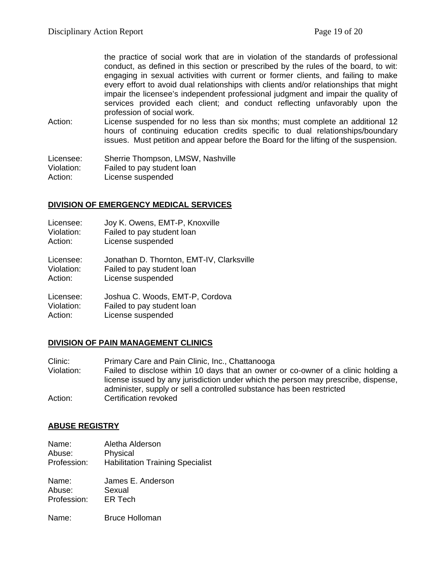the practice of social work that are in violation of the standards of professional conduct, as defined in this section or prescribed by the rules of the board, to wit: engaging in sexual activities with current or former clients, and failing to make every effort to avoid dual relationships with clients and/or relationships that might impair the licensee's independent professional judgment and impair the quality of services provided each client; and conduct reflecting unfavorably upon the profession of social work.

Action: License suspended for no less than six months; must complete an additional 12 hours of continuing education credits specific to dual relationships/boundary issues. Must petition and appear before the Board for the lifting of the suspension.

Licensee: Sherrie Thompson, LMSW, Nashville Violation: Failed to pay student loan Action: License suspended

#### **DIVISION OF EMERGENCY MEDICAL SERVICES**

| Licensee:  | Joy K. Owens, EMT-P, Knoxville            |
|------------|-------------------------------------------|
| Violation: | Failed to pay student loan                |
| Action:    | License suspended                         |
| Licensee:  | Jonathan D. Thornton, EMT-IV, Clarksville |
| Violation: | Failed to pay student loan                |
| Action:    | License suspended                         |
| Licensee:  | Joshua C. Woods, EMT-P, Cordova           |
| Violation: | Failed to pay student loan                |
| Action:    | License suspended                         |

### **DIVISION OF PAIN MANAGEMENT CLINICS**

Clinic: Primary Care and Pain Clinic, Inc., Chattanooga Violation: Failed to disclose within 10 days that an owner or co-owner of a clinic holding a license issued by any jurisdiction under which the person may prescribe, dispense, administer, supply or sell a controlled substance has been restricted Action: Certification revoked

#### **ABUSE REGISTRY**

Name: Aletha Alderson Abuse: Physical Profession: Habilitation Training Specialist

Name: James E. Anderson<br>Abuse: Sexual Abuse: Profession: ER Tech

Name: Bruce Holloman